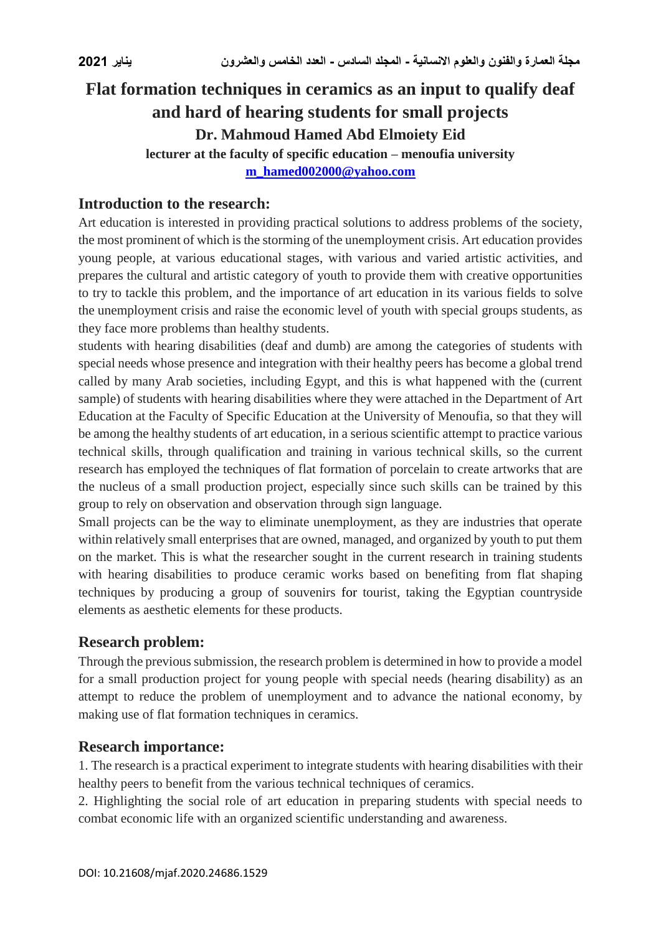# **Flat formation techniques in ceramics as an input to qualify deaf and hard of hearing students for small projects Dr. Mahmoud Hamed Abd Elmoiety Eid lecturer at the faculty of specific education – menoufia university**

**[m\\_hamed002000@yahoo.com](mailto:m_hamed002000@yahoo.com)**

# **Introduction to the research:**

Art education is interested in providing practical solutions to address problems of the society, the most prominent of which is the storming of the unemployment crisis. Art education provides young people, at various educational stages, with various and varied artistic activities, and prepares the cultural and artistic category of youth to provide them with creative opportunities to try to tackle this problem, and the importance of art education in its various fields to solve the unemployment crisis and raise the economic level of youth with special groups students, as they face more problems than healthy students.

students with hearing disabilities (deaf and dumb) are among the categories of students with special needs whose presence and integration with their healthy peers has become a global trend called by many Arab societies, including Egypt, and this is what happened with the (current sample) of students with hearing disabilities where they were attached in the Department of Art Education at the Faculty of Specific Education at the University of Menoufia, so that they will be among the healthy students of art education, in a serious scientific attempt to practice various technical skills, through qualification and training in various technical skills, so the current research has employed the techniques of flat formation of porcelain to create artworks that are the nucleus of a small production project, especially since such skills can be trained by this group to rely on observation and observation through sign language.

Small projects can be the way to eliminate unemployment, as they are industries that operate within relatively small enterprises that are owned, managed, and organized by youth to put them on the market. This is what the researcher sought in the current research in training students with hearing disabilities to produce ceramic works based on benefiting from flat shaping techniques by producing a group of souvenirs for tourist, taking the Egyptian countryside elements as aesthetic elements for these products.

### **Research problem:**

Through the previous submission, the research problem is determined in how to provide a model for a small production project for young people with special needs (hearing disability) as an attempt to reduce the problem of unemployment and to advance the national economy, by making use of flat formation techniques in ceramics.

### **Research importance:**

1. The research is a practical experiment to integrate students with hearing disabilities with their healthy peers to benefit from the various technical techniques of ceramics.

2. Highlighting the social role of art education in preparing students with special needs to combat economic life with an organized scientific understanding and awareness.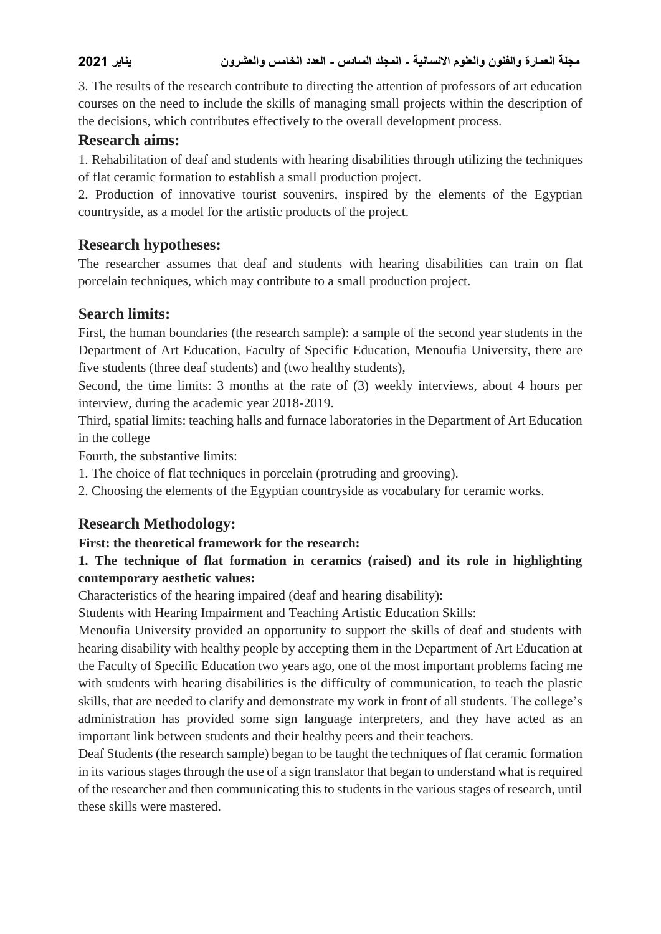3. The results of the research contribute to directing the attention of professors of art education courses on the need to include the skills of managing small projects within the description of the decisions, which contributes effectively to the overall development process.

### **Research aims:**

1. Rehabilitation of deaf and students with hearing disabilities through utilizing the techniques of flat ceramic formation to establish a small production project.

2. Production of innovative tourist souvenirs, inspired by the elements of the Egyptian countryside, as a model for the artistic products of the project.

# **Research hypotheses:**

The researcher assumes that deaf and students with hearing disabilities can train on flat porcelain techniques, which may contribute to a small production project.

# **Search limits:**

First, the human boundaries (the research sample): a sample of the second year students in the Department of Art Education, Faculty of Specific Education, Menoufia University, there are five students (three deaf students) and (two healthy students),

Second, the time limits: 3 months at the rate of (3) weekly interviews, about 4 hours per interview, during the academic year 2018-2019.

Third, spatial limits: teaching halls and furnace laboratories in the Department of Art Education in the college

Fourth, the substantive limits:

1. The choice of flat techniques in porcelain (protruding and grooving).

2. Choosing the elements of the Egyptian countryside as vocabulary for ceramic works.

# **Research Methodology:**

### **First: the theoretical framework for the research:**

# **1. The technique of flat formation in ceramics (raised) and its role in highlighting contemporary aesthetic values:**

Characteristics of the hearing impaired (deaf and hearing disability):

Students with Hearing Impairment and Teaching Artistic Education Skills:

Menoufia University provided an opportunity to support the skills of deaf and students with hearing disability with healthy people by accepting them in the Department of Art Education at the Faculty of Specific Education two years ago, one of the most important problems facing me with students with hearing disabilities is the difficulty of communication, to teach the plastic skills, that are needed to clarify and demonstrate my work in front of all students. The college's administration has provided some sign language interpreters, and they have acted as an important link between students and their healthy peers and their teachers.

Deaf Students (the research sample) began to be taught the techniques of flat ceramic formation in its various stages through the use of a sign translator that began to understand what is required of the researcher and then communicating this to students in the various stages of research, until these skills were mastered.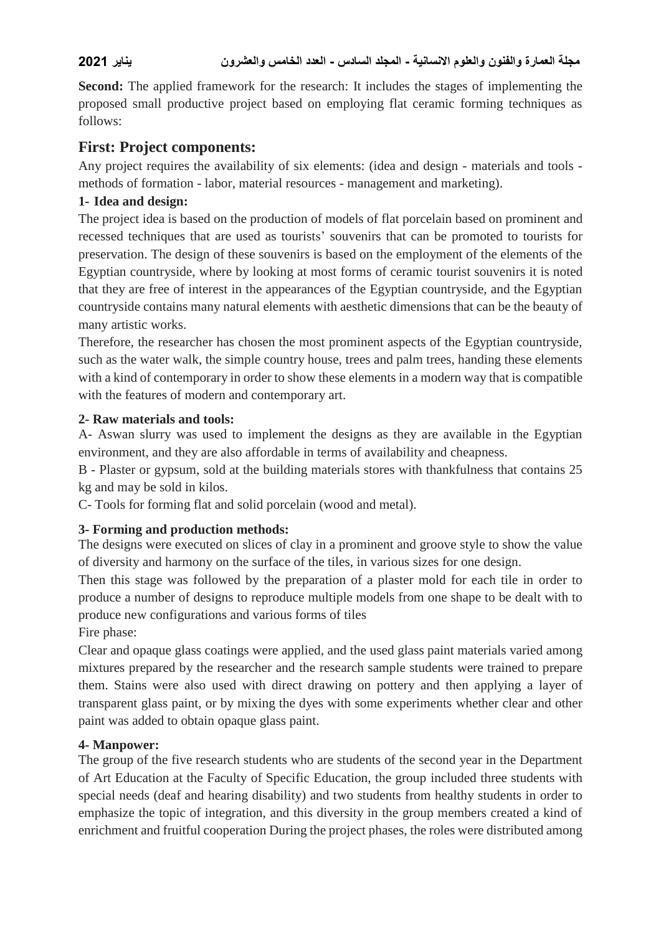**Second:** The applied framework for the research: It includes the stages of implementing the proposed small productive project based on employing flat ceramic forming techniques as follows:

# **First: Project components:**

Any project requires the availability of six elements: (idea and design - materials and tools methods of formation - labor, material resources - management and marketing).

### **1- Idea and design:**

The project idea is based on the production of models of flat porcelain based on prominent and recessed techniques that are used as tourists' souvenirs that can be promoted to tourists for preservation. The design of these souvenirs is based on the employment of the elements of the Egyptian countryside, where by looking at most forms of ceramic tourist souvenirs it is noted that they are free of interest in the appearances of the Egyptian countryside, and the Egyptian countryside contains many natural elements with aesthetic dimensions that can be the beauty of many artistic works.

Therefore, the researcher has chosen the most prominent aspects of the Egyptian countryside, such as the water walk, the simple country house, trees and palm trees, handing these elements with a kind of contemporary in order to show these elements in a modern way that is compatible with the features of modern and contemporary art.

### **2- Raw materials and tools:**

A- Aswan slurry was used to implement the designs as they are available in the Egyptian environment, and they are also affordable in terms of availability and cheapness.

B - Plaster or gypsum, sold at the building materials stores with thankfulness that contains 25 kg and may be sold in kilos.

C- Tools for forming flat and solid porcelain (wood and metal).

# **3- Forming and production methods:**

The designs were executed on slices of clay in a prominent and groove style to show the value of diversity and harmony on the surface of the tiles, in various sizes for one design.

Then this stage was followed by the preparation of a plaster mold for each tile in order to produce a number of designs to reproduce multiple models from one shape to be dealt with to produce new configurations and various forms of tiles

Fire phase:

Clear and opaque glass coatings were applied, and the used glass paint materials varied among mixtures prepared by the researcher and the research sample students were trained to prepare them. Stains were also used with direct drawing on pottery and then applying a layer of transparent glass paint, or by mixing the dyes with some experiments whether clear and other paint was added to obtain opaque glass paint.

### **4- Manpower:**

The group of the five research students who are students of the second year in the Department of Art Education at the Faculty of Specific Education, the group included three students with special needs (deaf and hearing disability) and two students from healthy students in order to emphasize the topic of integration, and this diversity in the group members created a kind of enrichment and fruitful cooperation During the project phases, the roles were distributed among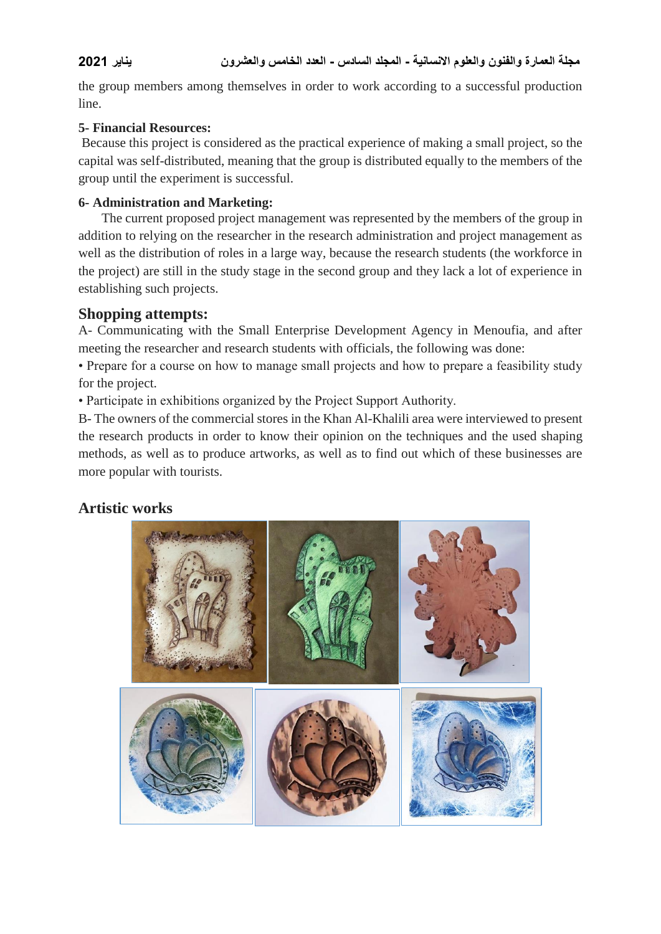the group members among themselves in order to work according to a successful production line.

### **5- Financial Resources:**

Because this project is considered as the practical experience of making a small project, so the capital was self-distributed, meaning that the group is distributed equally to the members of the group until the experiment is successful.

### **6- Administration and Marketing:**

 The current proposed project management was represented by the members of the group in addition to relying on the researcher in the research administration and project management as well as the distribution of roles in a large way, because the research students (the workforce in the project) are still in the study stage in the second group and they lack a lot of experience in establishing such projects.

# **Shopping attempts:**

A- Communicating with the Small Enterprise Development Agency in Menoufia, and after meeting the researcher and research students with officials, the following was done:

• Prepare for a course on how to manage small projects and how to prepare a feasibility study for the project.

• Participate in exhibitions organized by the Project Support Authority.

B- The owners of the commercial stores in the Khan Al-Khalili area were interviewed to present the research products in order to know their opinion on the techniques and the used shaping methods, as well as to produce artworks, as well as to find out which of these businesses are more popular with tourists.

# **Artistic works**

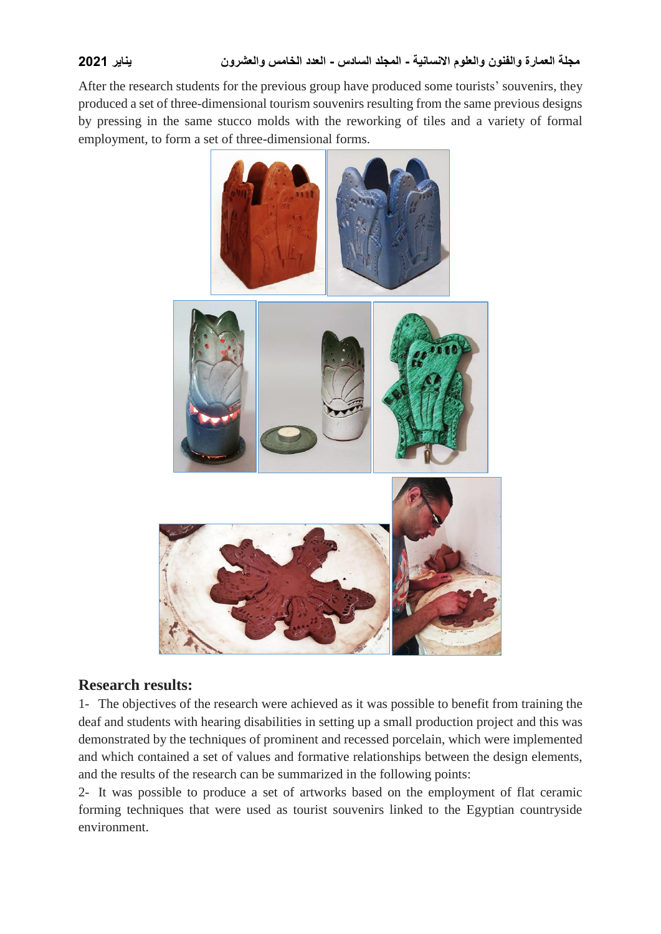After the research students for the previous group have produced some tourists' souvenirs, they produced a set of three-dimensional tourism souvenirs resulting from the same previous designs by pressing in the same stucco molds with the reworking of tiles and a variety of formal employment, to form a set of three-dimensional forms.



# **Research results:**

1- The objectives of the research were achieved as it was possible to benefit from training the deaf and students with hearing disabilities in setting up a small production project and this was demonstrated by the techniques of prominent and recessed porcelain, which were implemented and which contained a set of values and formative relationships between the design elements, and the results of the research can be summarized in the following points:

2- It was possible to produce a set of artworks based on the employment of flat ceramic forming techniques that were used as tourist souvenirs linked to the Egyptian countryside environment.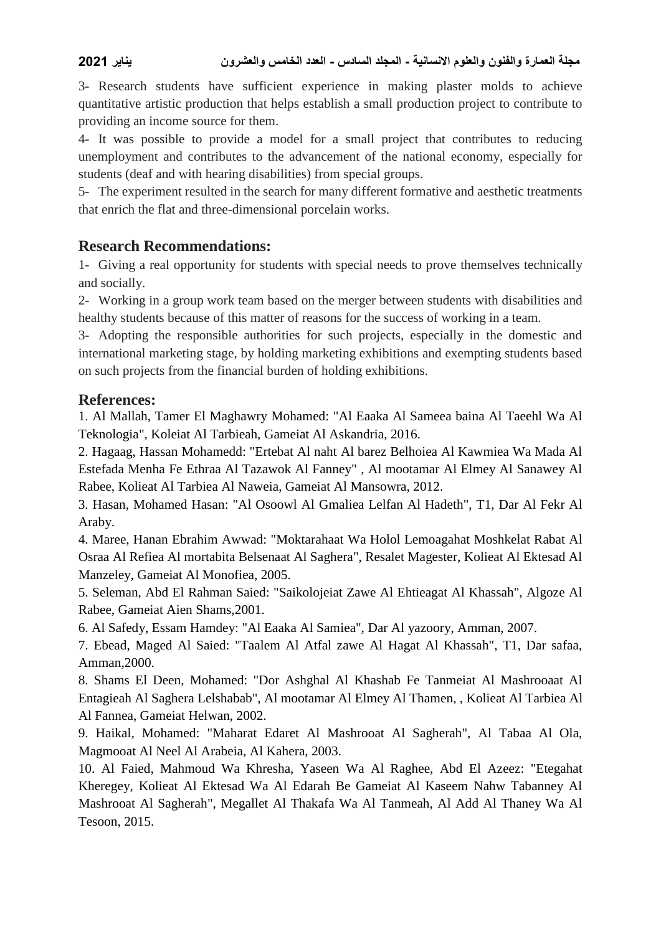3- Research students have sufficient experience in making plaster molds to achieve quantitative artistic production that helps establish a small production project to contribute to providing an income source for them.

4- It was possible to provide a model for a small project that contributes to reducing unemployment and contributes to the advancement of the national economy, especially for students (deaf and with hearing disabilities) from special groups.

5- The experiment resulted in the search for many different formative and aesthetic treatments that enrich the flat and three-dimensional porcelain works.

### **Research Recommendations:**

1- Giving a real opportunity for students with special needs to prove themselves technically and socially.

2- Working in a group work team based on the merger between students with disabilities and healthy students because of this matter of reasons for the success of working in a team.

3- Adopting the responsible authorities for such projects, especially in the domestic and international marketing stage, by holding marketing exhibitions and exempting students based on such projects from the financial burden of holding exhibitions.

### **References:**

1. Al Mallah, Tamer El Maghawry Mohamed: "Al Eaaka Al Sameea baina Al Taeehl Wa Al Teknologia", Koleiat Al Tarbieah, Gameiat Al Askandria, 2016.

2. Hagaag, Hassan Mohamedd: "Ertebat Al naht Al barez Belhoiea Al Kawmiea Wa Mada Al Estefada Menha Fe Ethraa Al Tazawok Al Fanney" , Al mootamar Al Elmey Al Sanawey Al Rabee, Kolieat Al Tarbiea Al Naweia, Gameiat Al Mansowra, 2012.

3. Hasan, Mohamed Hasan: "Al Osoowl Al Gmaliea Lelfan Al Hadeth", T1, Dar Al Fekr Al Araby.

4. Maree, Hanan Ebrahim Awwad: "Moktarahaat Wa Holol Lemoagahat Moshkelat Rabat Al Osraa Al Refiea Al mortabita Belsenaat Al Saghera", Resalet Magester, Kolieat Al Ektesad Al Manzeley, Gameiat Al Monofiea, 2005.

5. Seleman, Abd El Rahman Saied: "Saikolojeiat Zawe Al Ehtieagat Al Khassah", Algoze Al Rabee, Gameiat Aien Shams,2001.

6. Al Safedy, Essam Hamdey: "Al Eaaka Al Samiea", Dar Al yazoory, Amman, 2007.

7. Ebead, Maged Al Saied: "Taalem Al Atfal zawe Al Hagat Al Khassah", T1, Dar safaa, Amman,2000.

8. Shams El Deen, Mohamed: "Dor Ashghal Al Khashab Fe Tanmeiat Al Mashrooaat Al Entagieah Al Saghera Lelshabab", Al mootamar Al Elmey Al Thamen, , Kolieat Al Tarbiea Al Al Fannea, Gameiat Helwan, 2002.

9. Haikal, Mohamed: "Maharat Edaret Al Mashrooat Al Sagherah", Al Tabaa Al Ola, Magmooat Al Neel Al Arabeia, Al Kahera, 2003.

10. Al Faied, Mahmoud Wa Khresha, Yaseen Wa Al Raghee, Abd El Azeez: "Etegahat Kheregey, Kolieat Al Ektesad Wa Al Edarah Be Gameiat Al Kaseem Nahw Tabanney Al Mashrooat Al Sagherah", Megallet Al Thakafa Wa Al Tanmeah, Al Add Al Thaney Wa Al Tesoon, 2015.